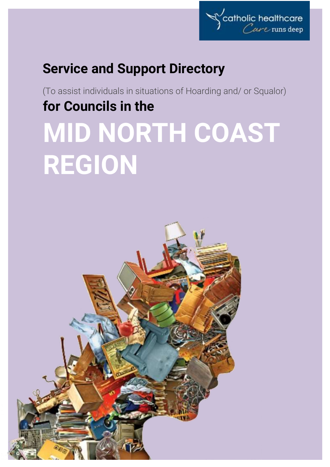

## **Service and Support Directory**

(To assist individuals in situations of Hoarding and/ or Squalor) **for Councils in the**

# **MID NORTH COAST REGION**

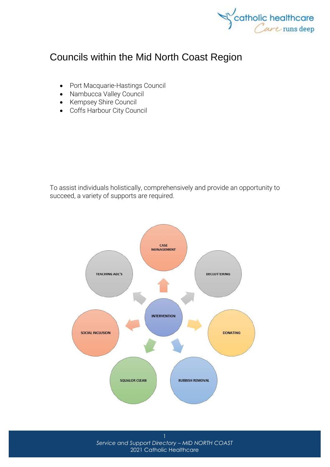

### Councils within the Mid North Coast Region

- [Port Macquarie-Hastings Council](http://www.pmhc.nsw.gov.au/)
- [Nambucca Valley Council](http://www.nambucca.nsw.gov.au/)
- [Kempsey Shire Council](http://www.kempsey.nsw.gov.au/index.html)
- [Coffs Harbour City Council](https://www.coffsharbour.nsw.gov.au/Pages/default.aspx)

To assist individuals holistically, comprehensively and provide an opportunity to succeed, a variety of supports are required.



*Service and Support Directory – MID NORTH COAST* 2021 Catholic Healthcare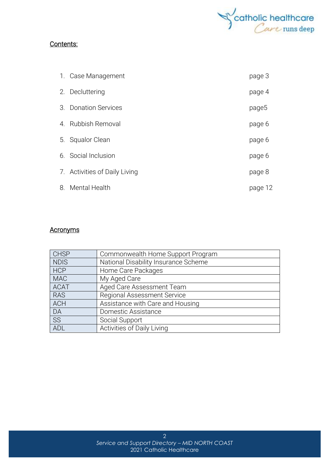

#### Contents:

| 1. Case Management            | page 3  |
|-------------------------------|---------|
| 2. Decluttering               | page 4  |
| 3. Donation Services          | page5   |
| 4. Rubbish Removal            | page 6  |
| 5. Squalor Clean              | page 6  |
| 6. Social Inclusion           | page 6  |
| 7. Activities of Daily Living | page 8  |
| 8. Mental Health              | page 12 |

#### **Acronyms**

| <b>CHSP</b> | Commonwealth Home Support Program    |
|-------------|--------------------------------------|
| <b>NDIS</b> | National Disability Insurance Scheme |
| <b>HCP</b>  | Home Care Packages                   |
| <b>MAC</b>  | My Aged Care                         |
| <b>ACAT</b> | Aged Care Assessment Team            |
| <b>RAS</b>  | <b>Regional Assessment Service</b>   |
| <b>ACH</b>  | Assistance with Care and Housing     |
| DA          | Domestic Assistance                  |
| SS          | Social Support                       |
| ADL         | Activities of Daily Living           |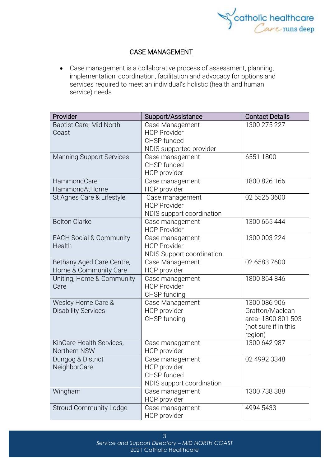

#### CASE MANAGEMENT

• Case management is a collaborative process of assessment, planning, implementation, coordination, facilitation and advocacy for options and services required to meet an individual's holistic (health and human service) needs

| Provider                                           | Support/Assistance                                                          | <b>Contact Details</b>                                                                  |
|----------------------------------------------------|-----------------------------------------------------------------------------|-----------------------------------------------------------------------------------------|
| Baptist Care, Mid North<br>Coast                   | Case Management<br><b>HCP Provider</b><br>CHSP funded                       | 1300 275 227                                                                            |
|                                                    | NDIS supported provider                                                     |                                                                                         |
| <b>Manning Support Services</b>                    | Case management<br>CHSP funded<br>HCP provider                              | 6551 1800                                                                               |
| HammondCare,<br>HammondAtHome                      | Case management<br>HCP provider                                             | 1800 826 166                                                                            |
| St Agnes Care & Lifestyle                          | Case management<br><b>HCP Provider</b><br>NDIS support coordination         | 02 5525 3600                                                                            |
| <b>Bolton Clarke</b>                               | Case management<br><b>HCP Provider</b>                                      | 1300 665 444                                                                            |
| <b>EACH Social &amp; Community</b><br>Health       | Case management<br><b>HCP Provider</b><br><b>NDIS Support coordination</b>  | 1300 003 224                                                                            |
| Bethany Aged Care Centre,<br>Home & Community Care | Case Management<br><b>HCP</b> provider                                      | 02 6583 7600                                                                            |
| Uniting, Home & Community<br>Care                  | Case management<br><b>HCP Provider</b><br>CHSP funding                      | 1800 864 846                                                                            |
| Wesley Home Care &<br><b>Disability Services</b>   | Case Management<br>HCP provider<br>CHSP funding                             | 1300 086 906<br>Grafton/Maclean<br>area-1800 801 503<br>(not sure if in this<br>region) |
| KinCare Health Services,<br>Northern NSW           | Case management<br>HCP provider                                             | 1300 642 987                                                                            |
| Dungog & District<br>NeighborCare                  | Case management<br>HCP provider<br>CHSP funded<br>NDIS support coordination | 02 4992 3348                                                                            |
| Wingham                                            | Case management<br>HCP provider                                             | 1300 738 388                                                                            |
| <b>Stroud Community Lodge</b>                      | Case management<br>HCP provider                                             | 4994 5433                                                                               |

3 *Service and Support Directory – MID NORTH COAST* 2021 Catholic Healthcare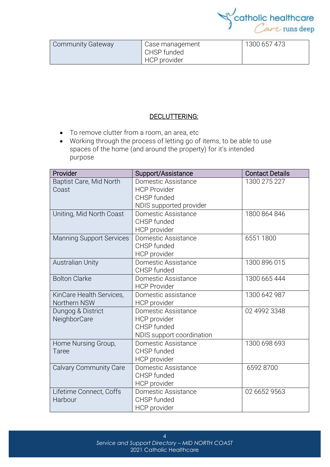

| <b>Community Gateway</b> | Case management<br>CHSP funded<br>HCP provider | 1300 657 473 |
|--------------------------|------------------------------------------------|--------------|
|                          |                                                |              |

#### DECLUTTERING:

- To remove clutter from a room, an area, etc
- Working through the process of letting go of items, to be able to use spaces of the home (and around the property) for it's intended purpose

| Provider                        | Support/Assistance        | <b>Contact Details</b> |
|---------------------------------|---------------------------|------------------------|
| Baptist Care, Mid North         | Domestic Assistance       | 1300 275 227           |
| Coast                           | <b>HCP Provider</b>       |                        |
|                                 | CHSP funded               |                        |
|                                 | NDIS supported provider   |                        |
| Uniting, Mid North Coast        | Domestic Assistance       | 1800 864 846           |
|                                 | CHSP funded               |                        |
|                                 | HCP provider              |                        |
| <b>Manning Support Services</b> | Domestic Assistance       | 6551 1800              |
|                                 | CHSP funded               |                        |
|                                 | <b>HCP</b> provider       |                        |
| <b>Australian Unity</b>         | Domestic Assistance       | 1300 896 015           |
|                                 | CHSP funded               |                        |
| <b>Bolton Clarke</b>            | Domestic Assistance       | 1300 665 444           |
|                                 | <b>HCP Provider</b>       |                        |
| KinCare Health Services,        | Domestic assistance       | 1300 642 987           |
| Northern NSW                    | HCP provider              |                        |
| Dungog & District               | Domestic Assistance       | 02 4992 3348           |
| NeighborCare                    | <b>HCP</b> provider       |                        |
|                                 | CHSP funded               |                        |
|                                 | NDIS support coordination |                        |
| Home Nursing Group,             | Domestic Assistance       | 1300 698 693           |
| Taree                           | CHSP funded               |                        |
|                                 | HCP provider              |                        |
| <b>Calvary Community Care</b>   | Domestic Assistance       | 6592 8700              |
|                                 | CHSP funded               |                        |
|                                 | <b>HCP</b> provider       |                        |
| Lifetime Connect, Coffs         | Domestic Assistance       | 02 6652 9563           |
| Harbour                         | CHSP funded               |                        |
|                                 | HCP provider              |                        |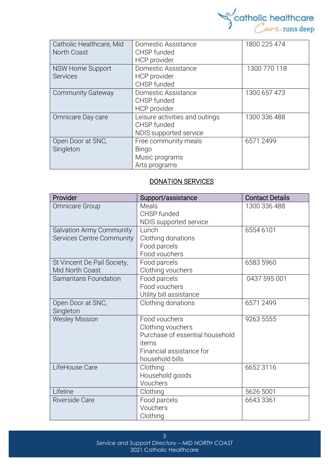

| Catholic Healthcare, Mid | Domestic Assistance            | 1800 225 474 |
|--------------------------|--------------------------------|--------------|
| North Coast              | CHSP funded                    |              |
|                          | HCP provider                   |              |
| NSW Home Support         | Domestic Assistance            | 1300 770 118 |
| <b>Services</b>          | HCP provider                   |              |
|                          | CHSP funded                    |              |
| <b>Community Gateway</b> | Domestic Assistance            | 1300 657 473 |
|                          | CHSP funded                    |              |
|                          | <b>HCP</b> provider            |              |
| Omnicare Day care        | Leisure activities and outings | 1300 336 488 |
|                          | CHSP funded                    |              |
|                          | NDIS supported service         |              |
| Open Door at SNC,        | Free community meals           | 6571 2499    |
| Singleton                | <b>Bingo</b>                   |              |
|                          | Music programs                 |              |
|                          | Arts programs                  |              |

#### DONATION SERVICES

| Provider                                              | Support/assistance                                                                                                            | <b>Contact Details</b> |
|-------------------------------------------------------|-------------------------------------------------------------------------------------------------------------------------------|------------------------|
| <b>Omnicare Group</b>                                 | Meals<br>CHSP funded<br>NDIS supported service                                                                                | 1300 336 488           |
| Salvation Army Community<br>Services Centre Community | Lunch<br>Clothing donations<br>Food parcels<br>Food vouchers                                                                  | 6554 6101              |
| St Vincent De Pail Society,<br>Mid North Coast        | Food parcels<br>Clothing vouchers                                                                                             | 6583 5960              |
| <b>Samaritans Foundation</b>                          | Food parcels<br>Food vouchers<br>Utility bill assistance                                                                      | 0437 595 001           |
| Open Door at SNC,<br>Singleton                        | Clothing donations                                                                                                            | 65712499               |
| <b>Wesley Mission</b>                                 | Food vouchers<br>Clothing vouchers<br>Purchase of essential household<br>items<br>Financial assistance for<br>household bills | 9263 5555              |
| LifeHouse Care                                        | Clothing<br>Household goods<br>Vouchers                                                                                       | 6652 3116              |
| Lifeline                                              | Clothing                                                                                                                      | 5626 5001              |
| Riverside Care                                        | Food parcels<br>Vouchers<br>Clothing                                                                                          | 6643 3361              |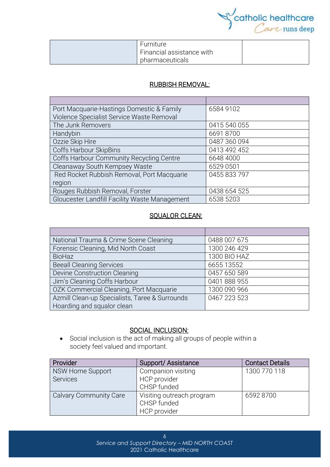

| Furniture                 |  |
|---------------------------|--|
| Financial assistance with |  |
| pharmaceuticals           |  |

#### RUBBISH REMOVAL:

| Port Macquarie-Hastings Domestic & Family     | 6584 9102    |
|-----------------------------------------------|--------------|
| Violence Specialist Service Waste Removal     |              |
| The Junk Removers                             | 0415 540 055 |
| Handybin                                      | 66918700     |
| Ozzie Skip Hire                               | 0487 360 094 |
| Coffs Harbour SkipBins                        | 0413 492 452 |
| Coffs Harbour Community Recycling Centre      | 6648 4000    |
| Cleanaway South Kempsey Waste                 | 6529 0501    |
| Red Rocket Rubbish Removal, Port Macquarie    | 0455 833 797 |
| region                                        |              |
| Rouges Rubbish Removal, Forster               | 0438 654 525 |
| Gloucester Landfill Facility Waste Management | 6538 5203    |

#### SQUALOR CLEAN:

| National Trauma & Crime Scene Cleaning         | 0488 007 675 |
|------------------------------------------------|--------------|
| Forensic Cleaning, Mid North Coast             | 1300 246 429 |
| <b>BioHaz</b>                                  | 1300 BIO HAZ |
| <b>Beeall Cleaning Services</b>                | 6655 13552   |
| Devine Construction Cleaning                   | 0457 650 589 |
| Jim's Cleaning Coffs Harbour                   | 0401 888 955 |
| OZK Commercial Cleaning, Port Macquarie        | 1300 090 966 |
| Azmill Clean-up Specialists, Taree & Surrounds | 0467 223 523 |
| Hoarding and squalor clean                     |              |

#### SOCIAL INCLUSION:

• Social [inclusion](https://www.collinsdictionary.com/dictionary/english/inclusion) is the act of making all groups of people within a society [feel](https://www.collinsdictionary.com/dictionary/english/feel) valued and [important.](https://www.collinsdictionary.com/dictionary/english/important)

| Provider                | Support/Assistance        | <b>Contact Details</b> |
|-------------------------|---------------------------|------------------------|
| <b>NSW Home Support</b> | Companion visiting        | 1300 770 118           |
| <b>Services</b>         | HCP provider              |                        |
|                         | CHSP funded               |                        |
| Calvary Community Care  | Visiting outreach program | 65928700               |
|                         | CHSP funded               |                        |
|                         | HCP provider              |                        |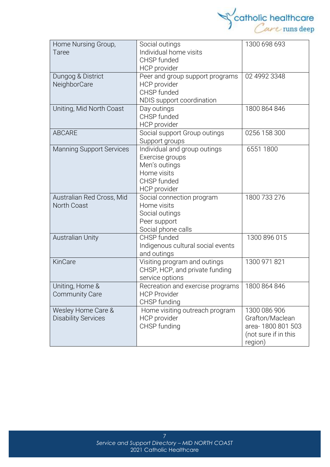

| Home Nursing Group,             | Social outings                    | 1300 698 693         |
|---------------------------------|-----------------------------------|----------------------|
| Taree                           | Individual home visits            |                      |
|                                 | CHSP funded                       |                      |
|                                 | <b>HCP</b> provider               |                      |
| Dungog & District               | Peer and group support programs   | 02 4992 3348         |
| NeighborCare                    | HCP provider                      |                      |
|                                 | CHSP funded                       |                      |
|                                 | NDIS support coordination         |                      |
| Uniting, Mid North Coast        | Day outings                       | 1800 864 846         |
|                                 | CHSP funded                       |                      |
|                                 | HCP provider                      |                      |
| <b>ABCARE</b>                   | Social support Group outings      | 0256 158 300         |
|                                 | Support groups                    |                      |
| <b>Manning Support Services</b> | Individual and group outings      | 6551 1800            |
|                                 | Exercise groups                   |                      |
|                                 | Men's outings                     |                      |
|                                 | Home visits                       |                      |
|                                 | CHSP funded                       |                      |
|                                 | HCP provider                      |                      |
| Australian Red Cross, Mid       | Social connection program         | 1800 733 276         |
| North Coast                     | Home visits                       |                      |
|                                 | Social outings                    |                      |
|                                 | Peer support                      |                      |
|                                 | Social phone calls                |                      |
| <b>Australian Unity</b>         | CHSP funded                       | 1300 896 015         |
|                                 | Indigenous cultural social events |                      |
|                                 | and outings                       |                      |
| KinCare                         | Visiting program and outings      | 1300 971 821         |
|                                 | CHSP, HCP, and private funding    |                      |
|                                 | service options                   |                      |
| Uniting, Home &                 | Recreation and exercise programs  | 1800 864 846         |
| <b>Community Care</b>           | <b>HCP Provider</b>               |                      |
|                                 | CHSP funding                      |                      |
| Wesley Home Care &              | Home visiting outreach program    | 1300 086 906         |
| <b>Disability Services</b>      | <b>HCP</b> provider               | Grafton/Maclean      |
|                                 | CHSP funding                      | area-1800 801 503    |
|                                 |                                   | (not sure if in this |
|                                 |                                   | region)              |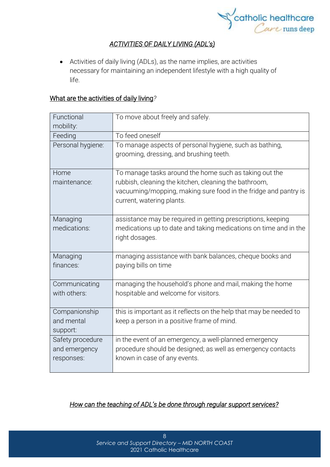

#### *ACTIVITIES OF DAILY LIVING (ADL's)*

• Activities of daily living (ADLs), as the name implies, are activities necessary for maintaining an independent lifestyle with a high quality of life.

#### What are the activities of daily living*?*

| Functional<br>mobility:                         | To move about freely and safely.                                                                                                                      |
|-------------------------------------------------|-------------------------------------------------------------------------------------------------------------------------------------------------------|
| Feeding                                         | To feed oneself                                                                                                                                       |
| Personal hygiene:                               | To manage aspects of personal hygiene, such as bathing,<br>grooming, dressing, and brushing teeth.                                                    |
| Home                                            | To manage tasks around the home such as taking out the                                                                                                |
| maintenance:                                    | rubbish, cleaning the kitchen, cleaning the bathroom,<br>vacuuming/mopping, making sure food in the fridge and pantry is<br>current, watering plants. |
| Managing<br>medications:                        | assistance may be required in getting prescriptions, keeping<br>medications up to date and taking medications on time and in the<br>right dosages.    |
| Managing<br>finances:                           | managing assistance with bank balances, cheque books and<br>paying bills on time                                                                      |
| Communicating<br>with others:                   | managing the household's phone and mail, making the home<br>hospitable and welcome for visitors.                                                      |
| Companionship<br>and mental<br>support:         | this is important as it reflects on the help that may be needed to<br>keep a person in a positive frame of mind.                                      |
| Safety procedure<br>and emergency<br>responses: | in the event of an emergency, a well-planned emergency<br>procedure should be designed; as well as emergency contacts<br>known in case of any events. |

#### *How can the teaching of ADL's be done through regular support services?*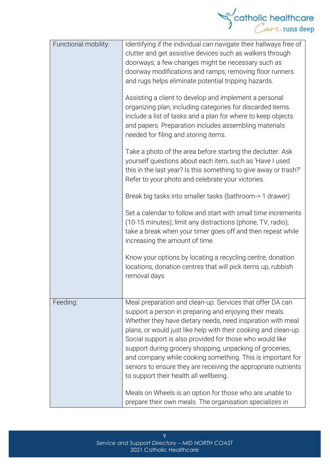

| Functional mobility: | Identifying if the individual can navigate their hallways free of<br>clutter and get assistive devices such as walkers through<br>doorways; a few changes might be necessary such as<br>doorway modifications and ramps; removing floor runners<br>and rugs helps eliminate potential tripping hazards.<br>Assisting a client to develop and implement a personal<br>organizing plan, including categories for discarded items.<br>Include a list of tasks and a plan for where to keep objects<br>and papers. Preparation includes assembling materials<br>needed for filing and storing items.<br>Take a photo of the area before starting the declutter. Ask<br>yourself questions about each item, such as 'Have I used<br>this in the last year? Is this something to give away or trash?' |
|----------------------|-------------------------------------------------------------------------------------------------------------------------------------------------------------------------------------------------------------------------------------------------------------------------------------------------------------------------------------------------------------------------------------------------------------------------------------------------------------------------------------------------------------------------------------------------------------------------------------------------------------------------------------------------------------------------------------------------------------------------------------------------------------------------------------------------|
|                      | Refer to your photo and celebrate your victories.<br>Break big tasks into smaller tasks (bathroom-> 1 drawer)<br>Set a calendar to follow and start with small time increments<br>(10-15 minutes); limit any distractions (phone, TV, radio);<br>take a break when your timer goes off and then repeat while<br>increasing the amount of time<br>Know your options by locating a recycling centre, donation<br>locations, donation centres that will pick items up, rubbish<br>removal days                                                                                                                                                                                                                                                                                                     |
| Feeding:             | Meal preparation and clean-up. Services that offer DA can<br>support a person in preparing and enjoying their meals.<br>Whether they have dietary needs, need inspiration with meal<br>plans, or would just like help with their cooking and clean-up.<br>Social support is also provided for those who would like<br>support during grocery shopping, unpacking of groceries,<br>and company while cooking something. This is important for<br>seniors to ensure they are receiving the appropriate nutrients<br>to support their health all wellbeing.<br>Meals on Wheels is an option for those who are unable to<br>prepare their own meals. The organisation specializes in                                                                                                                |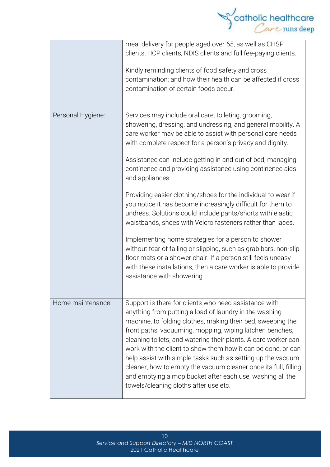

|                   | meal delivery for people aged over 65, as well as CHSP<br>clients, HCP clients, NDIS clients and full fee-paying clients.<br>Kindly reminding clients of food safety and cross<br>contamination; and how their health can be affected if cross<br>contamination of certain foods occur.                                                                                                                                                                                                                                                                                                                              |
|-------------------|----------------------------------------------------------------------------------------------------------------------------------------------------------------------------------------------------------------------------------------------------------------------------------------------------------------------------------------------------------------------------------------------------------------------------------------------------------------------------------------------------------------------------------------------------------------------------------------------------------------------|
| Personal Hygiene: | Services may include oral care, toileting, grooming,<br>showering, dressing, and undressing, and general mobility. A<br>care worker may be able to assist with personal care needs<br>with complete respect for a person's privacy and dignity.<br>Assistance can include getting in and out of bed, managing<br>continence and providing assistance using continence aids<br>and appliances.                                                                                                                                                                                                                        |
|                   | Providing easier clothing/shoes for the individual to wear if<br>you notice it has become increasingly difficult for them to<br>undress. Solutions could include pants/shorts with elastic<br>waistbands, shoes with Velcro fasteners rather than laces.                                                                                                                                                                                                                                                                                                                                                             |
|                   | Implementing home strategies for a person to shower<br>without fear of falling or slipping, such as grab bars, non-slip<br>floor mats or a shower chair. If a person still feels uneasy<br>with these installations, then a care worker is able to provide<br>assistance with showering.                                                                                                                                                                                                                                                                                                                             |
| Home maintenance: | Support is there for clients who need assistance with<br>anything from putting a load of laundry in the washing<br>machine, to folding clothes, making their bed, sweeping the<br>front paths, vacuuming, mopping, wiping kitchen benches,<br>cleaning toilets, and watering their plants. A care worker can<br>work with the client to show them how it can be done, or can<br>help assist with simple tasks such as setting up the vacuum<br>cleaner, how to empty the vacuum cleaner once its full, filling<br>and emptying a mop bucket after each use, washing all the<br>towels/cleaning cloths after use etc. |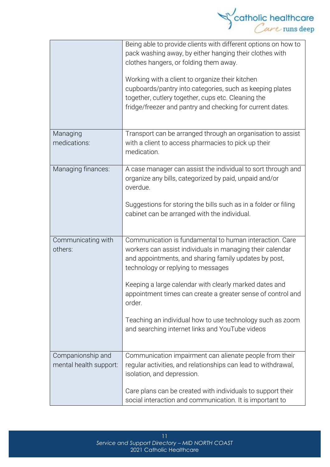

|                                             | Being able to provide clients with different options on how to<br>pack washing away, by either hanging their clothes with<br>clothes hangers, or folding them away.<br>Working with a client to organize their kitchen<br>cupboards/pantry into categories, such as keeping plates<br>together, cutlery together, cups etc. Cleaning the<br>fridge/freezer and pantry and checking for current dates.                                                                  |
|---------------------------------------------|------------------------------------------------------------------------------------------------------------------------------------------------------------------------------------------------------------------------------------------------------------------------------------------------------------------------------------------------------------------------------------------------------------------------------------------------------------------------|
| Managing<br>medications:                    | Transport can be arranged through an organisation to assist<br>with a client to access pharmacies to pick up their<br>medication.                                                                                                                                                                                                                                                                                                                                      |
| Managing finances:                          | A case manager can assist the individual to sort through and<br>organize any bills, categorized by paid, unpaid and/or<br>overdue.<br>Suggestions for storing the bills such as in a folder or filing<br>cabinet can be arranged with the individual.                                                                                                                                                                                                                  |
| Communicating with<br>others:               | Communication is fundamental to human interaction. Care<br>workers can assist individuals in managing their calendar<br>and appointments, and sharing family updates by post,<br>technology or replying to messages<br>Keeping a large calendar with clearly marked dates and<br>appointment times can create a greater sense of control and<br>order.<br>Teaching an individual how to use technology such as zoom<br>and searching internet links and YouTube videos |
| Companionship and<br>mental health support: | Communication impairment can alienate people from their<br>regular activities, and relationships can lead to withdrawal,<br>isolation, and depression.<br>Care plans can be created with individuals to support their<br>social interaction and communication. It is important to                                                                                                                                                                                      |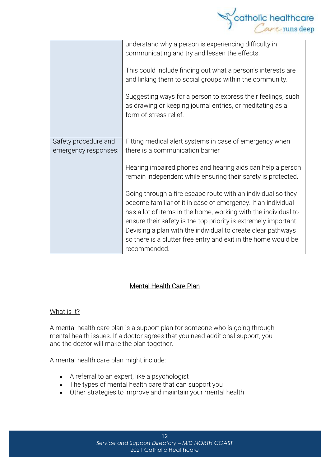

|                                              | understand why a person is experiencing difficulty in<br>communicating and try and lessen the effects.<br>This could include finding out what a person's interests are<br>and linking them to social groups within the community.<br>Suggesting ways for a person to express their feelings, such<br>as drawing or keeping journal entries, or meditating as a<br>form of stress relief. |
|----------------------------------------------|------------------------------------------------------------------------------------------------------------------------------------------------------------------------------------------------------------------------------------------------------------------------------------------------------------------------------------------------------------------------------------------|
| Safety procedure and<br>emergency responses: | Fitting medical alert systems in case of emergency when<br>there is a communication barrier                                                                                                                                                                                                                                                                                              |
|                                              | Hearing impaired phones and hearing aids can help a person<br>remain independent while ensuring their safety is protected.                                                                                                                                                                                                                                                               |
|                                              | Going through a fire escape route with an individual so they<br>become familiar of it in case of emergency. If an individual<br>has a lot of items in the home, working with the individual to                                                                                                                                                                                           |
|                                              | ensure their safety is the top priority is extremely important.<br>Devising a plan with the individual to create clear pathways<br>so there is a clutter free entry and exit in the home would be<br>recommended.                                                                                                                                                                        |

#### Mental Health Care Plan

#### What is it?

A mental health care plan is a support plan for someone who is going through mental health issues. If a doctor agrees that you need additional support, you and the doctor will make the plan together.

#### A mental health care plan might include:

- A referral to an expert, like a psychologist
- The types of mental health care that can support you
- Other strategies to improve and maintain your mental health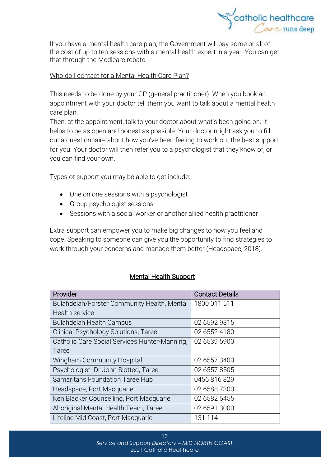

If you have a mental health care plan, the Government will pay some or all of the cost of up to ten sessions with a mental health expert in a year. You can get that through the [Medicare](https://headspace.org.au/blog/how-to-get-a-medicare-card-old/) rebate.

#### Who do I contact for a Mental Health Care Plan?

This needs to be done by your GP (general practitioner). When you book an appointment with your doctor tell them you want to talk about a mental health care plan.

Then, at the appointment, talk to your doctor about what's been going on. It helps to be as open and honest as possible. Your doctor might ask you to fill out a questionnaire about how you've been feeling to work out the best support for you. Your doctor will then refer you to a psychologist that they know of, or you can find your own.

Types of support you may be able to get include:

- One on one sessions with a psychologist
- Group psychologist sessions
- Sessions with a social worker or another allied health practitioner

Extra support can empower you to make big changes to how you feel and cope. Speaking to someone can give you the opportunity to find strategies to work through your concerns and manage them better (Headspace, 2018).

#### Mental Health Support

| Provider                                      | <b>Contact Details</b> |
|-----------------------------------------------|------------------------|
| Bulahdelah/Forster Community Health, Mental   | 1800 011 511           |
| Health service                                |                        |
| <b>Bulahdelah Health Campus</b>               | 02 6592 9315           |
| Clinical Psychology Solutions, Taree          | 02 6552 4180           |
| Catholic Care Social Services Hunter-Manning, | 02 6539 5900           |
| Taree                                         |                        |
| <b>Wingham Community Hospital</b>             | 02 6557 3400           |
| Psychologist- Dr John Slotted, Taree          | 02 6557 8505           |
| Samaritans Foundation Taree Hub               | 0456 816 829           |
| Headspace, Port Macquarie                     | 02 6588 7300           |
| Ken Blacker Counselling, Port Macquarie       | 02 6582 6455           |
| Aboriginal Mental Health Team, Taree          | 02 6591 3000           |
| Lifeline Mid Coast, Port Macquarie            | 131 114                |